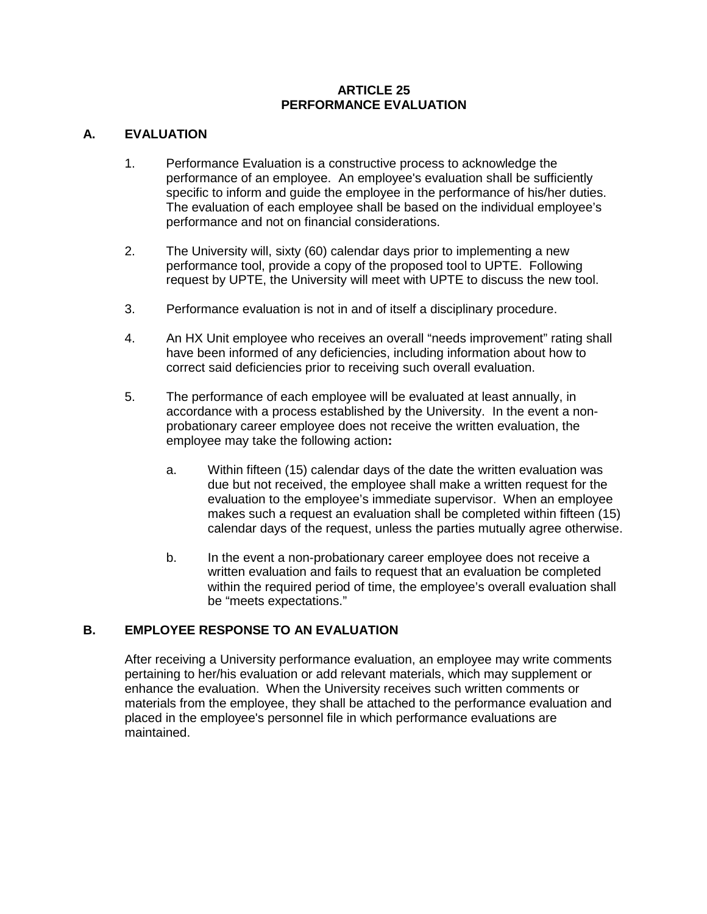## **ARTICLE 25 PERFORMANCE EVALUATION**

## **A. EVALUATION**

- 1. Performance Evaluation is a constructive process to acknowledge the performance of an employee. An employee's evaluation shall be sufficiently specific to inform and guide the employee in the performance of his/her duties. The evaluation of each employee shall be based on the individual employee's performance and not on financial considerations.
- 2. The University will, sixty (60) calendar days prior to implementing a new performance tool, provide a copy of the proposed tool to UPTE. Following request by UPTE, the University will meet with UPTE to discuss the new tool.
- 3. Performance evaluation is not in and of itself a disciplinary procedure.
- 4. An HX Unit employee who receives an overall "needs improvement" rating shall have been informed of any deficiencies, including information about how to correct said deficiencies prior to receiving such overall evaluation.
- 5. The performance of each employee will be evaluated at least annually, in accordance with a process established by the University. In the event a nonprobationary career employee does not receive the written evaluation, the employee may take the following action**:**
	- a. Within fifteen (15) calendar days of the date the written evaluation was due but not received, the employee shall make a written request for the evaluation to the employee's immediate supervisor. When an employee makes such a request an evaluation shall be completed within fifteen (15) calendar days of the request, unless the parties mutually agree otherwise.
	- b. In the event a non-probationary career employee does not receive a written evaluation and fails to request that an evaluation be completed within the required period of time, the employee's overall evaluation shall be "meets expectations."

## **B. EMPLOYEE RESPONSE TO AN EVALUATION**

After receiving a University performance evaluation, an employee may write comments pertaining to her/his evaluation or add relevant materials, which may supplement or enhance the evaluation. When the University receives such written comments or materials from the employee, they shall be attached to the performance evaluation and placed in the employee's personnel file in which performance evaluations are maintained.